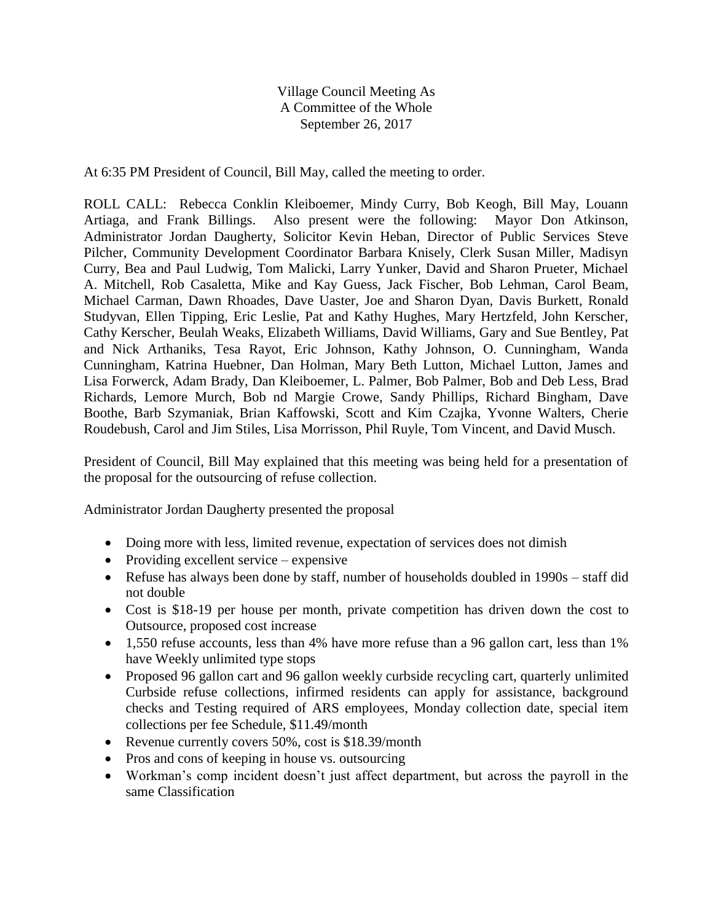Village Council Meeting As A Committee of the Whole September 26, 2017

At 6:35 PM President of Council, Bill May, called the meeting to order.

ROLL CALL: Rebecca Conklin Kleiboemer, Mindy Curry, Bob Keogh, Bill May, Louann Artiaga, and Frank Billings. Also present were the following: Mayor Don Atkinson, Administrator Jordan Daugherty, Solicitor Kevin Heban, Director of Public Services Steve Pilcher, Community Development Coordinator Barbara Knisely, Clerk Susan Miller, Madisyn Curry, Bea and Paul Ludwig, Tom Malicki, Larry Yunker, David and Sharon Prueter, Michael A. Mitchell, Rob Casaletta, Mike and Kay Guess, Jack Fischer, Bob Lehman, Carol Beam, Michael Carman, Dawn Rhoades, Dave Uaster, Joe and Sharon Dyan, Davis Burkett, Ronald Studyvan, Ellen Tipping, Eric Leslie, Pat and Kathy Hughes, Mary Hertzfeld, John Kerscher, Cathy Kerscher, Beulah Weaks, Elizabeth Williams, David Williams, Gary and Sue Bentley, Pat and Nick Arthaniks, Tesa Rayot, Eric Johnson, Kathy Johnson, O. Cunningham, Wanda Cunningham, Katrina Huebner, Dan Holman, Mary Beth Lutton, Michael Lutton, James and Lisa Forwerck, Adam Brady, Dan Kleiboemer, L. Palmer, Bob Palmer, Bob and Deb Less, Brad Richards, Lemore Murch, Bob nd Margie Crowe, Sandy Phillips, Richard Bingham, Dave Boothe, Barb Szymaniak, Brian Kaffowski, Scott and Kim Czajka, Yvonne Walters, Cherie Roudebush, Carol and Jim Stiles, Lisa Morrisson, Phil Ruyle, Tom Vincent, and David Musch.

President of Council, Bill May explained that this meeting was being held for a presentation of the proposal for the outsourcing of refuse collection.

Administrator Jordan Daugherty presented the proposal

- Doing more with less, limited revenue, expectation of services does not dimish
- Providing excellent service expensive
- Refuse has always been done by staff, number of households doubled in 1990s staff did not double
- Cost is \$18-19 per house per month, private competition has driven down the cost to Outsource, proposed cost increase
- 1,550 refuse accounts, less than 4% have more refuse than a 96 gallon cart, less than 1% have Weekly unlimited type stops
- Proposed 96 gallon cart and 96 gallon weekly curbside recycling cart, quarterly unlimited Curbside refuse collections, infirmed residents can apply for assistance, background checks and Testing required of ARS employees, Monday collection date, special item collections per fee Schedule, \$11.49/month
- Revenue currently covers 50%, cost is \$18.39/month
- Pros and cons of keeping in house vs. outsourcing
- Workman's comp incident doesn't just affect department, but across the payroll in the same Classification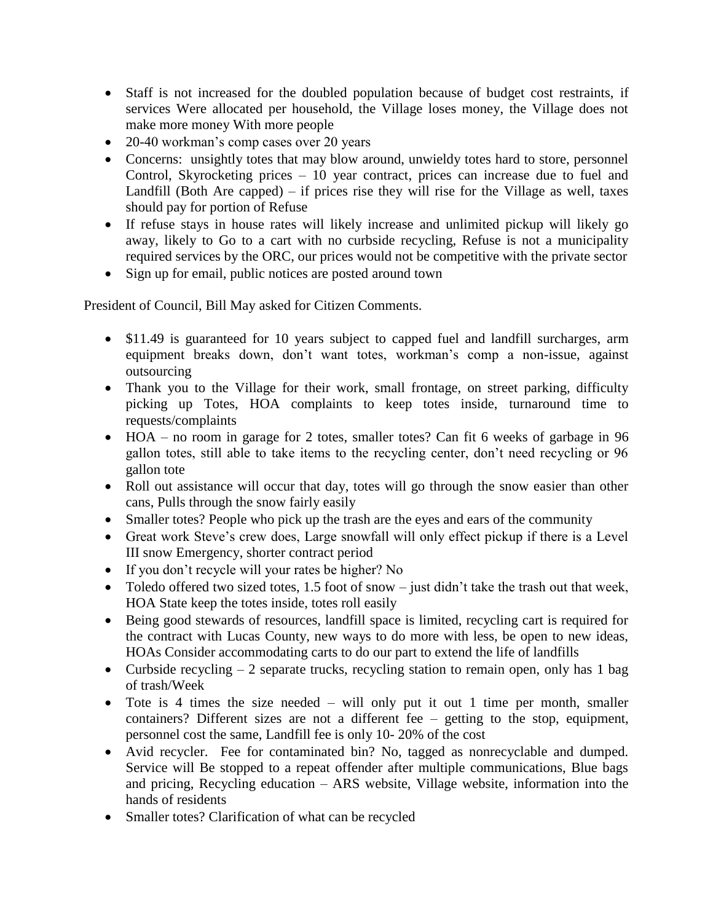- Staff is not increased for the doubled population because of budget cost restraints, if services Were allocated per household, the Village loses money, the Village does not make more money With more people
- 20-40 workman's comp cases over 20 years
- Concerns: unsightly totes that may blow around, unwieldy totes hard to store, personnel Control, Skyrocketing prices – 10 year contract, prices can increase due to fuel and Landfill (Both Are capped) – if prices rise they will rise for the Village as well, taxes should pay for portion of Refuse
- If refuse stays in house rates will likely increase and unlimited pickup will likely go away, likely to Go to a cart with no curbside recycling, Refuse is not a municipality required services by the ORC, our prices would not be competitive with the private sector
- Sign up for email, public notices are posted around town

President of Council, Bill May asked for Citizen Comments.

- \$11.49 is guaranteed for 10 years subject to capped fuel and landfill surcharges, arm equipment breaks down, don't want totes, workman's comp a non-issue, against outsourcing
- Thank you to the Village for their work, small frontage, on street parking, difficulty picking up Totes, HOA complaints to keep totes inside, turnaround time to requests/complaints
- HOA no room in garage for 2 totes, smaller totes? Can fit 6 weeks of garbage in 96 gallon totes, still able to take items to the recycling center, don't need recycling or 96 gallon tote
- Roll out assistance will occur that day, totes will go through the snow easier than other cans, Pulls through the snow fairly easily
- Smaller totes? People who pick up the trash are the eyes and ears of the community
- Great work Steve's crew does, Large snowfall will only effect pickup if there is a Level III snow Emergency, shorter contract period
- If you don't recycle will your rates be higher? No
- Toledo offered two sized totes, 1.5 foot of snow just didn't take the trash out that week, HOA State keep the totes inside, totes roll easily
- Being good stewards of resources, landfill space is limited, recycling cart is required for the contract with Lucas County, new ways to do more with less, be open to new ideas, HOAs Consider accommodating carts to do our part to extend the life of landfills
- Curbside recycling  $-2$  separate trucks, recycling station to remain open, only has 1 bag of trash/Week
- Tote is 4 times the size needed will only put it out 1 time per month, smaller containers? Different sizes are not a different fee – getting to the stop, equipment, personnel cost the same, Landfill fee is only 10- 20% of the cost
- Avid recycler. Fee for contaminated bin? No, tagged as nonrecyclable and dumped. Service will Be stopped to a repeat offender after multiple communications, Blue bags and pricing, Recycling education – ARS website, Village website, information into the hands of residents
- Smaller totes? Clarification of what can be recycled